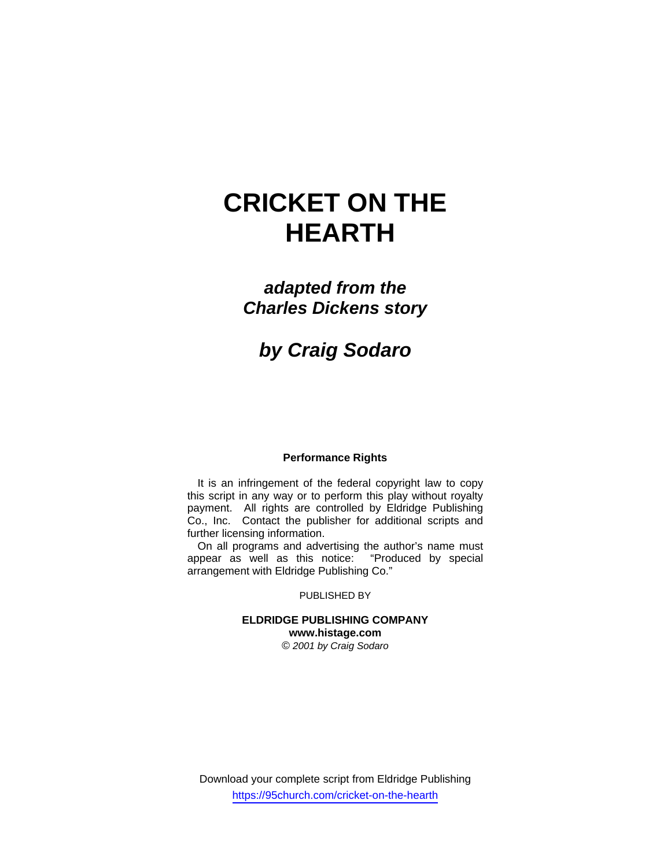# **CRICKET ON THE HEARTH**

# *adapted from the Charles Dickens story*

# *by Craig Sodaro*

# **Performance Rights**

It is an infringement of the federal copyright law to copy this script in any way or to perform this play without royalty payment. All rights are controlled by Eldridge Publishing Co., Inc. Contact the publisher for additional scripts and further licensing information.

On all programs and advertising the author's name must appear as well as this notice: "Produced by special arrangement with Eldridge Publishing Co."

#### PUBLISHED BY

# **ELDRIDGE PUBLISHING COMPANY www.histage.com**

*© 2001 by Craig Sodaro*

Download your complete script from Eldridge Publishing https://95church.com/cricket-on-the-hearth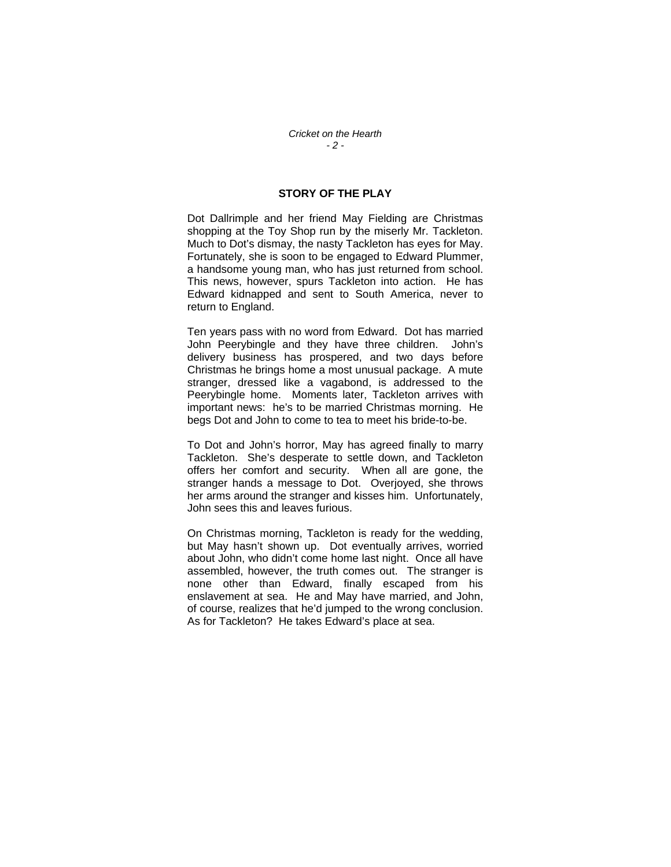## **STORY OF THE PLAY**

Dot Dallrimple and her friend May Fielding are Christmas shopping at the Toy Shop run by the miserly Mr. Tackleton. Much to Dot's dismay, the nasty Tackleton has eyes for May. Fortunately, she is soon to be engaged to Edward Plummer, a handsome young man, who has just returned from school. This news, however, spurs Tackleton into action. He has Edward kidnapped and sent to South America, never to return to England.

Ten years pass with no word from Edward. Dot has married John Peerybingle and they have three children. John's delivery business has prospered, and two days before Christmas he brings home a most unusual package. A mute stranger, dressed like a vagabond, is addressed to the Peerybingle home. Moments later, Tackleton arrives with important news: he's to be married Christmas morning. He begs Dot and John to come to tea to meet his bride-to-be.

To Dot and John's horror, May has agreed finally to marry Tackleton. She's desperate to settle down, and Tackleton offers her comfort and security. When all are gone, the stranger hands a message to Dot. Overjoyed, she throws her arms around the stranger and kisses him. Unfortunately, John sees this and leaves furious.

On Christmas morning, Tackleton is ready for the wedding, but May hasn't shown up. Dot eventually arrives, worried about John, who didn't come home last night. Once all have assembled, however, the truth comes out. The stranger is none other than Edward, finally escaped from his enslavement at sea. He and May have married, and John, of course, realizes that he'd jumped to the wrong conclusion. As for Tackleton? He takes Edward's place at sea.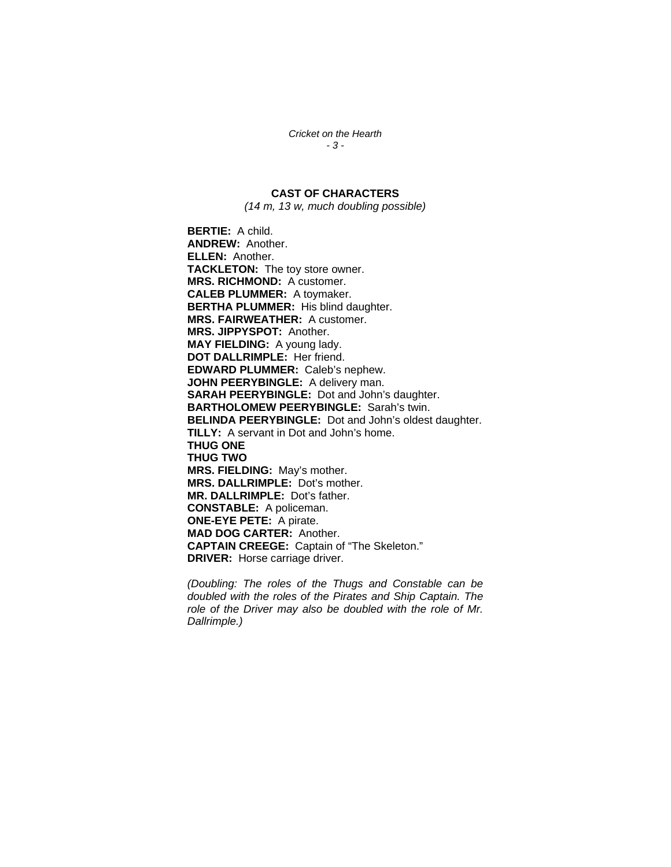*Cricket on the Hearth - 3 -* 

# **CAST OF CHARACTERS**

*(14 m, 13 w, much doubling possible)* 

**BERTIE:** A child. **ANDREW:** Another. **ELLEN:** Another. **TACKLETON:** The toy store owner. **MRS. RICHMOND:** A customer. **CALEB PLUMMER:** A toymaker. **BERTHA PLUMMER:** His blind daughter. **MRS. FAIRWEATHER:** A customer. **MRS. JIPPYSPOT:** Another. **MAY FIELDING:** A young lady. **DOT DALLRIMPLE:** Her friend. **EDWARD PLUMMER:** Caleb's nephew. **JOHN PEERYBINGLE:** A delivery man. **SARAH PEERYBINGLE:** Dot and John's daughter. **BARTHOLOMEW PEERYBINGLE:** Sarah's twin. **BELINDA PEERYBINGLE:** Dot and John's oldest daughter. **TILLY:** A servant in Dot and John's home. **THUG ONE THUG TWO MRS. FIELDING:** May's mother. **MRS. DALLRIMPLE:** Dot's mother. **MR. DALLRIMPLE:** Dot's father. **CONSTABLE:** A policeman. **ONE-EYE PETE:** A pirate. **MAD DOG CARTER:** Another. **CAPTAIN CREEGE:** Captain of "The Skeleton." **DRIVER:** Horse carriage driver.

*(Doubling: The roles of the Thugs and Constable can be doubled with the roles of the Pirates and Ship Captain. The role of the Driver may also be doubled with the role of Mr. Dallrimple.)*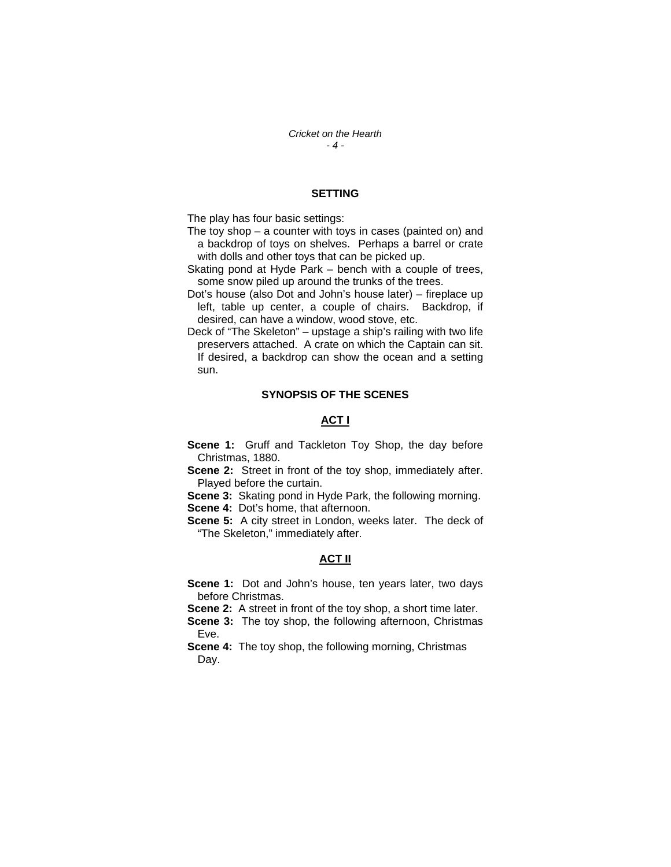*Cricket on the Hearth - 4 -* 

### **SETTING**

The play has four basic settings:

- The toy shop a counter with toys in cases (painted on) and a backdrop of toys on shelves. Perhaps a barrel or crate with dolls and other toys that can be picked up.
- Skating pond at Hyde Park bench with a couple of trees, some snow piled up around the trunks of the trees.
- Dot's house (also Dot and John's house later) fireplace up left, table up center, a couple of chairs. Backdrop, if desired, can have a window, wood stove, etc.
- Deck of "The Skeleton" upstage a ship's railing with two life preservers attached. A crate on which the Captain can sit. If desired, a backdrop can show the ocean and a setting sun.

#### **SYNOPSIS OF THE SCENES**

## **ACT I**

- **Scene 1:** Gruff and Tackleton Toy Shop, the day before Christmas, 1880.
- **Scene 2:** Street in front of the toy shop, immediately after. Played before the curtain.

**Scene 3:** Skating pond in Hyde Park, the following morning. **Scene 4: Dot's home, that afternoon.** 

**Scene 5:** A city street in London, weeks later. The deck of "The Skeleton," immediately after.

### **ACT II**

**Scene 1:** Dot and John's house, ten years later, two days before Christmas.

**Scene 2:** A street in front of the toy shop, a short time later.

**Scene 3:** The toy shop, the following afternoon, Christmas Eve.

**Scene 4:** The toy shop, the following morning, Christmas Day.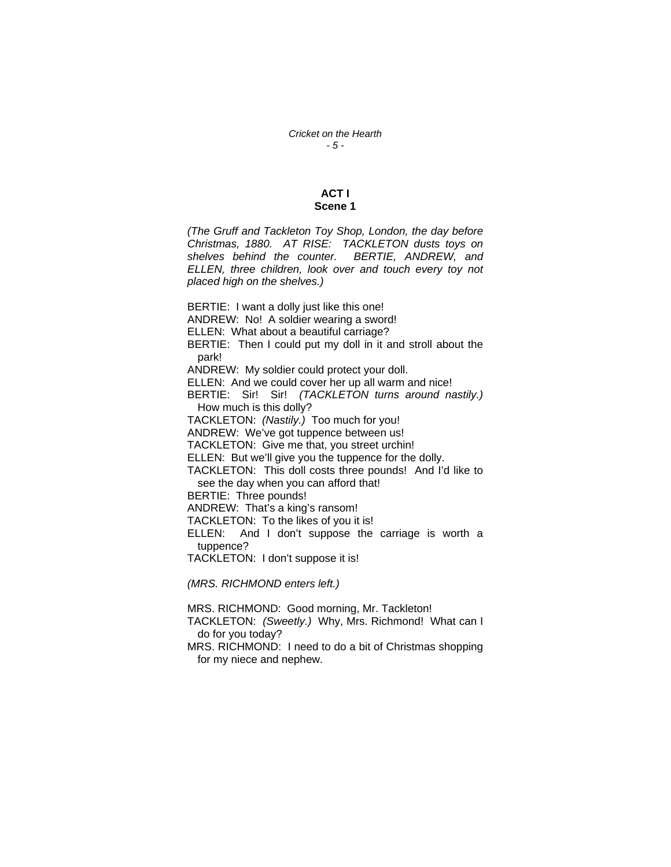# **ACT I Scene 1**

*(The Gruff and Tackleton Toy Shop, London, the day before Christmas, 1880. AT RISE: TACKLETON dusts toys on shelves behind the counter. BERTIE, ANDREW, and ELLEN, three children, look over and touch every toy not placed high on the shelves.)* 

BERTIE: I want a dolly just like this one! ANDREW: No! A soldier wearing a sword! ELLEN: What about a beautiful carriage? BERTIE: Then I could put my doll in it and stroll about the park! ANDREW: My soldier could protect your doll. ELLEN: And we could cover her up all warm and nice! BERTIE: Sir! Sir! *(TACKLETON turns around nastily.)*  How much is this dolly? TACKLETON: *(Nastily.)* Too much for you! ANDREW: We've got tuppence between us! TACKLETON: Give me that, you street urchin! ELLEN: But we'll give you the tuppence for the dolly. TACKLETON: This doll costs three pounds! And I'd like to see the day when you can afford that! BERTIE: Three pounds! ANDREW: That's a king's ransom! TACKLETON: To the likes of you it is! ELLEN: And I don't suppose the carriage is worth a tuppence? TACKLETON: I don't suppose it is!

*(MRS. RICHMOND enters left.)* 

MRS. RICHMOND: Good morning, Mr. Tackleton! TACKLETON: *(Sweetly.)* Why, Mrs. Richmond! What can I do for you today? MRS. RICHMOND: I need to do a bit of Christmas shopping

for my niece and nephew.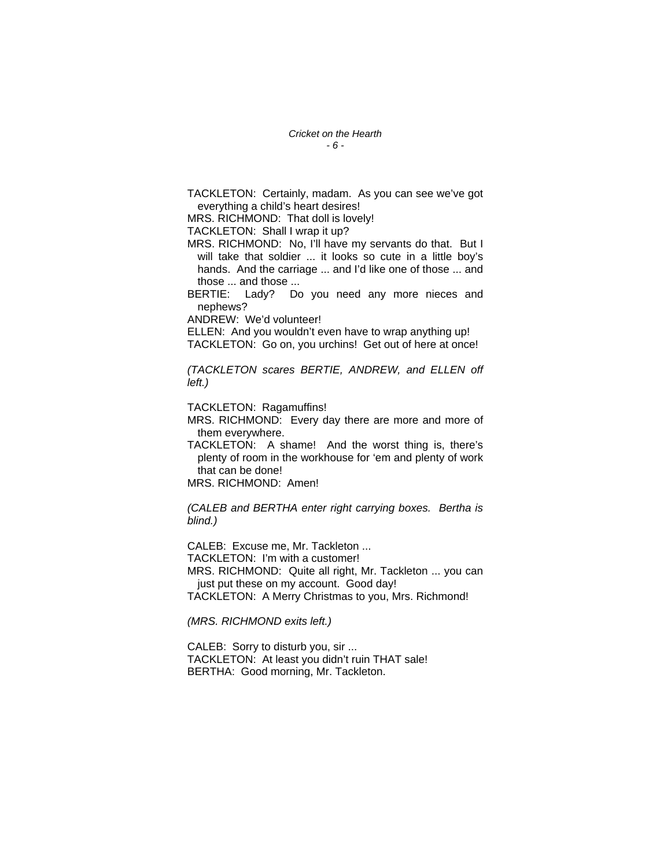*Cricket on the Hearth - 6 -* 

TACKLETON: Certainly, madam. As you can see we've got everything a child's heart desires!

MRS. RICHMOND: That doll is lovely!

TACKLETON: Shall I wrap it up?

MRS. RICHMOND: No, I'll have my servants do that. But I will take that soldier ... it looks so cute in a little boy's hands. And the carriage ... and I'd like one of those ... and those ... and those ...

BERTIE: Lady? Do you need any more nieces and nephews?

ANDREW: We'd volunteer!

ELLEN: And you wouldn't even have to wrap anything up! TACKLETON: Go on, you urchins! Get out of here at once!

*(TACKLETON scares BERTIE, ANDREW, and ELLEN off left.)* 

TACKLETON: Ragamuffins!

MRS. RICHMOND: Every day there are more and more of them everywhere.

TACKLETON: A shame! And the worst thing is, there's plenty of room in the workhouse for 'em and plenty of work that can be done!

MRS. RICHMOND: Amen!

*(CALEB and BERTHA enter right carrying boxes. Bertha is blind.)* 

CALEB: Excuse me, Mr. Tackleton ... TACKLETON: I'm with a customer!

MRS. RICHMOND: Quite all right, Mr. Tackleton ... you can just put these on my account. Good day!

TACKLETON: A Merry Christmas to you, Mrs. Richmond!

*(MRS. RICHMOND exits left.)* 

CALEB: Sorry to disturb you, sir ... TACKLETON: At least you didn't ruin THAT sale! BERTHA: Good morning, Mr. Tackleton.